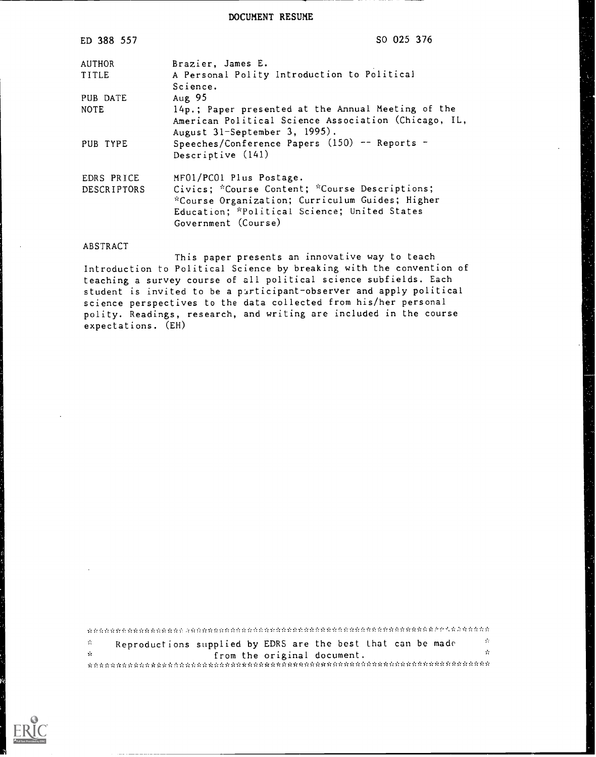DOCUMENT RESUME

| ED 388 557                       | SO 025 376                                                                                                                                                                                          |  |  |  |  |  |  |
|----------------------------------|-----------------------------------------------------------------------------------------------------------------------------------------------------------------------------------------------------|--|--|--|--|--|--|
| AUTHOR                           | Brazier, James E.                                                                                                                                                                                   |  |  |  |  |  |  |
| TITLE                            | A Personal Polity Introduction to Political<br>Science.                                                                                                                                             |  |  |  |  |  |  |
| PUB DATE                         | Aug 95                                                                                                                                                                                              |  |  |  |  |  |  |
| <b>NOTE</b>                      | 14p.; Paper presented at the Annual Meeting of the<br>American Political Science Association (Chicago, IL,<br>August 31-September 3, 1995).                                                         |  |  |  |  |  |  |
| PUB TYPE                         | Speeches/Conference Papers $(150)$ -- Reports -<br>Descriptive (141)                                                                                                                                |  |  |  |  |  |  |
| EDRS PRICE<br><b>DESCRIPTORS</b> | MFO1/PCO1 Plus Postage.<br>Civics; *Course Content; *Course Descriptions;<br>*Course Organization; Curriculum Guides; Higher<br>Education; *Political Science; United States<br>Government (Course) |  |  |  |  |  |  |

#### ABSTRACT

This paper presents an innovative way to teach Introduction to Political Science by breaking with the convention of teaching a survey course of all political science subfields. Each student is invited to be a pirticipant-observer and apply political science perspectives to the data collected from his/her personal polity. Readings, research, and writing are included in the course expectations. (EH)

| $-25$ | Reproductions supplied by EDRS are the best that can be made |  |                             |  |  | A. |
|-------|--------------------------------------------------------------|--|-----------------------------|--|--|----|
| $-1$  |                                                              |  | from the original document. |  |  | Y. |
|       |                                                              |  |                             |  |  |    |

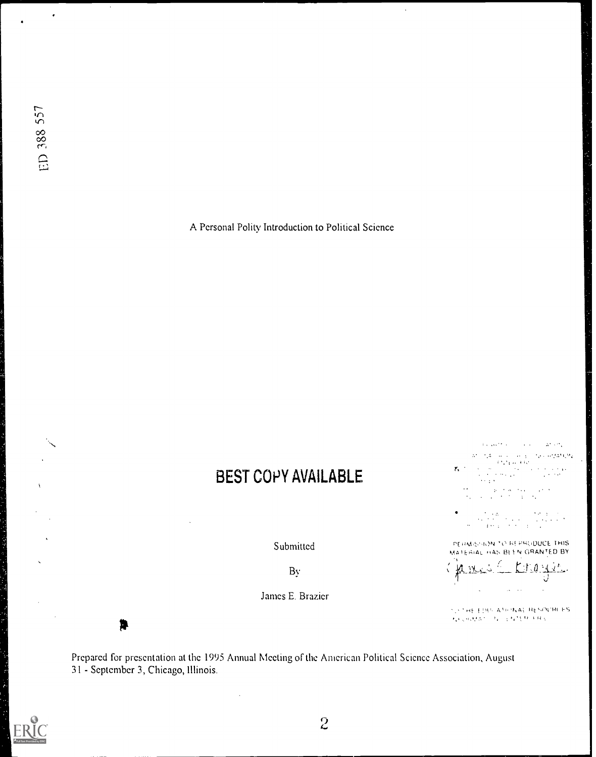$\ddot{\phantom{0}}$ 

A Personal Polity Introduction to Political Science

 $\ddot{\phantom{1}}$ 

# BEST COPY AVAILABLE

Submitted

By

James E. Brazier

 $\Delta^2 \sim 2$  .

 $\begin{split} \mathcal{U}^{(0)}_{\text{c}} & = \mathcal{V}_{\text{c}} \mathcal{U}^{(0)}_{\text{c}} \mathcal{U}^{(0)}_{\text{c}} + \mathcal{U}^{(0)}_{\text{c}} \mathcal{U}^{(0)}_{\text{c}} + \mathcal{U}^{(0)}_{\text{c}} \mathcal{U}^{(0)}_{\text{c}} \mathcal{U}^{(0)}_{\text{c}} \mathcal{U}^{(0)}_{\text{c}} \\ & = \mathcal{U}^{(0)}_{\text{c}} \mathcal{V}^{(0)}_{\text{c}} + \mathcal{U}^{(0)}_{\text{c}} + \mathcal$  $\frac{1}{2} \frac{1}{2} \frac{1}{2} \frac{1}{2} \frac{1}{2}$  $\mathcal{E}_1$  $\frac{1}{2} \sum_{i=1}^{N} \frac{1}{2} \sum_{j=1}^{N}$ 

 $\label{eq:2} \begin{split} \mathcal{L}_{\text{max}} &= \frac{1}{2} \left( \frac{1}{2} \left( \frac{1}{2} \left( \frac{1}{2} \right) \right) \mathbf{A} + \mathbf{A} \mathbf{A} \right) \\ \mathcal{L}_{\text{max}} &= \frac{1}{2} \left( \frac{1}{2} \left( \frac{1}{2} \right) \mathbf{A} + \mathbf{A} \mathbf{A} \right) \\ \mathcal{L}_{\text{max}} &= \frac{1}{2} \left( \frac{1}{2} \left( \frac{1}{2} \right) \mathbf{A} + \mathbf{A} \mathbf{A} \right) \\$  $\mathcal{L}^{\mathcal{A}}$  $\frac{1}{2}$  ,  $\frac{1}{2}$  $\mathcal{A}_\alpha$ 

 $\frac{1}{\sqrt{2}}\sum_{i=1}^{n} \frac{1}{\sqrt{2}}\frac{d\theta_i}{d\theta_i}$  $\lambda$  or  $\lambda$  $\begin{split} \mathcal{L}_{\text{max}} & = \frac{1}{2} \sum_{i=1}^{N} \mathcal{L}_{\text{max}} \left[ \mathcal{L}_{\text{max}} \right] \\ & = \frac{1}{2} \sum_{i=1}^{N} \mathcal{L}_{\text{max}} \left[ \mathcal{L}_{\text{max}} \right] \end{split}$  $\mathcal{L}^{\text{c}}$  and  $\mathcal{L}^{\text{c}}$  and  $\mathcal{L}^{\text{c}}$ an an  $\ddot{\phantom{a}}$ 

**PERMISSION TO REPRODUCE THIS.** MATERIAL HAS BEEN GRANTED BY



TO THE EDISOATIONAL RESINTROLES  $\mathbf{F}_k \mathbf{v}_k \mathbf{v}_k \mathbf{v}_k \mathbf{v}_k \mathbf{v}_k = \mathbf{F}_k \mathbf{v}_k + \frac{1}{2} \mathbf{F}_k \mathbf{v}_k \mathbf{v}_k + \mathbf{F}_k \mathbf{v}_k \mathbf{v}_k$ 

Prepared for presentation at the 1995 Annual Meeting of the American Political Science Association, August 31 - September 3, Chicago, Illinois.



 $\overline{\phantom{a}}$ 

贄

 $\overline{c}$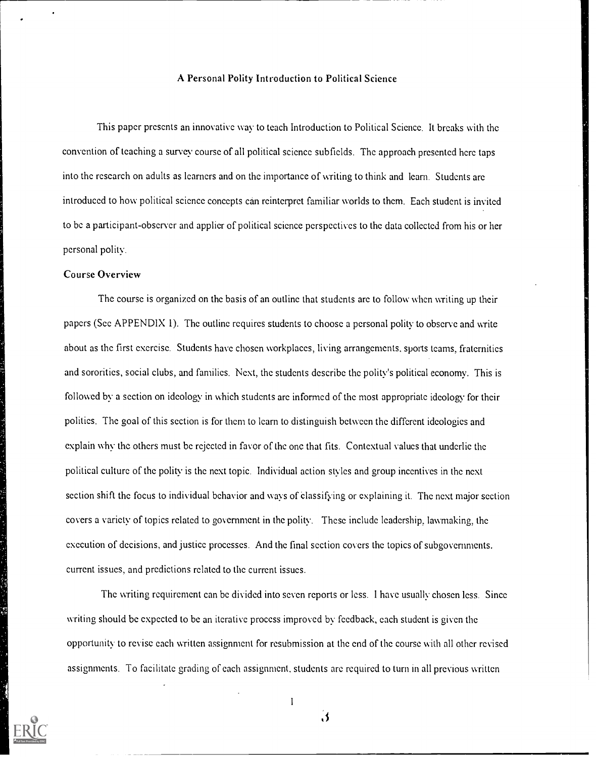# A Personal Polity Introduction to Political Science

This paper presents an innovative way to teach Introduction to Political Science. It breaks with the convention of teaching a survey course of all political science subficlds. The approach presented here taps into the research on adults as learners and on the importance of writing to think and learn. Students arc introduced to how political science concepts can reinterpret familiar worlds to them. Each student is invited to be a participant-observer and applicr of political science perspectives to the data collected from his or her personal polity.

# Course Overview

The course is organized on the basis of an outline that students arc to follow when writing up thcir papers (Sec APPENDIX 1). The outline requires students to choose a personal polity to observe and write about as the first exercise. Students have chosen workplaces, living arrangements, sports teams, fraternities and sororities, social clubs, and families. Next, thc studcnts describe the polity's political economy. This is followed by a scction on ideology in which students arc informed of the most appropriate ideology for thcir polities. The goal of this section is for them to learn to distinguish between the different ideologies and explain why the others must be rejected in favor of the one that fits. Contextual values that underlie the political culture of the polity is the next topic. Individual action styles and group incentives in the next section shift the focus to individual behavior and ways of elassifying or explaining it. The next major section covers a variety of topics related to government in the polity. These include leadership, lawmaking, the execution of decisions, and justice processes. And the final scction covers the topics of subgovernments. currcnt issues, and predictions related to thc current issues.

Thc writing requirement can be divided into seven reports or less. I have usually chosen less. Since writing should be expected to be an iterative process improved by feedback, each student is given the opportunity to revise each written assignment for resubmission at the cnd of thc course with all othcr revised assignments. To facilitate grading of each assignment, students arc required to turn in all previous written



1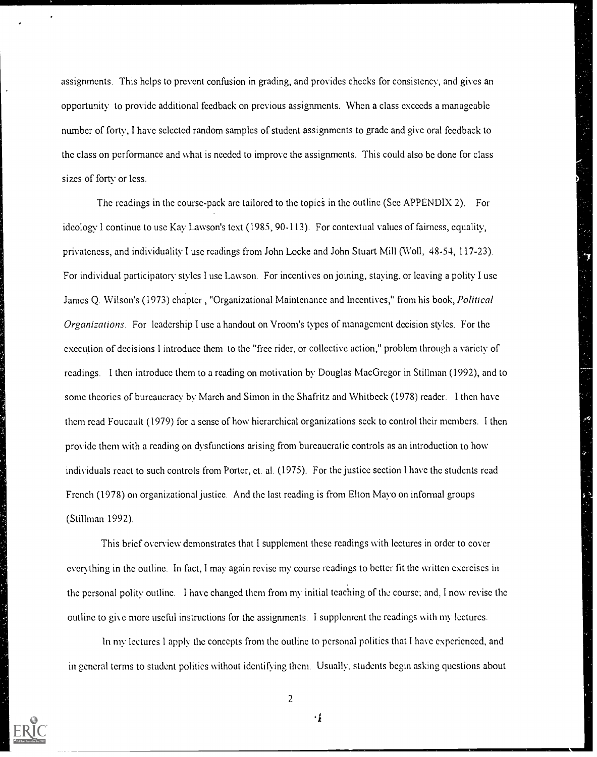assignmcnts. This helps to prevent confusion in grading, and provides checks for consistency, and gives an opportunity to provide additional feedback on previous assignments. When a class exceeds a manageable number of forty, I have selected random samples of student assignments to grade and give oral feedback to the class on performance and what is needed to improve the assignments. This could also be done for class sizes of forty or less.

The readings in the course-pack arc tailored to the topics in the outline (See APPENDIX 2). For ideology I continue to use Kay Lawson's text (1985, 90-113). For contextual values of fairness, equality, privateness, and individuality I use readings from John Locke and John Stuart Mill (Woll, 48-54, 117-23). For individual participatory styles I use Lawson. For incentives on joining, staying, or leaving a polity I usc James Q. Wilson's (1973) chapter, "Organizational Maintenance and Incentives," from his book, *Political* Organizations. For leadership I use a handout on Vroom's types of management decision styles. For the execution of decisions I introduce them to the "free rider, or collective action," problem through a variety of readings. I then introduce them to a reading on motivation by Douglas MacGregor in Stillman (1992), and to sonic theories of bureaucracy by March and Simon in the Shafritz and Whitbcck (1978) reader. I then have them read Foucault (1979) for a sense of how hierarchical organizations scck to control their members. I then provide them with a reading on dysfunctions arising from bureaucratic controls as an introduction to how individuals react to such controls from Portcr, ct. al. (1975). For the justice section I have the students read French (1978) on organizational justice. And the last reading is from Elton Mayo on informal groups (Stillman 1992).

This brief overview demonstrates that 1 supplement these readings with lectures in ordcr to cover everything in the outline. In fact, I may again revise my course readings to better fit the written exercises in the personal polity outline. I have changed them from my initial teaching of thc course: and. I now revise the outline to give more useful instructions for the assignments. I supplement the readings with my lectures.

In my lectures I apply the concepts from the outline to personal polities that I have experienced, and in general terms to student polities without identifying them. Usually, students begin asking questions about



2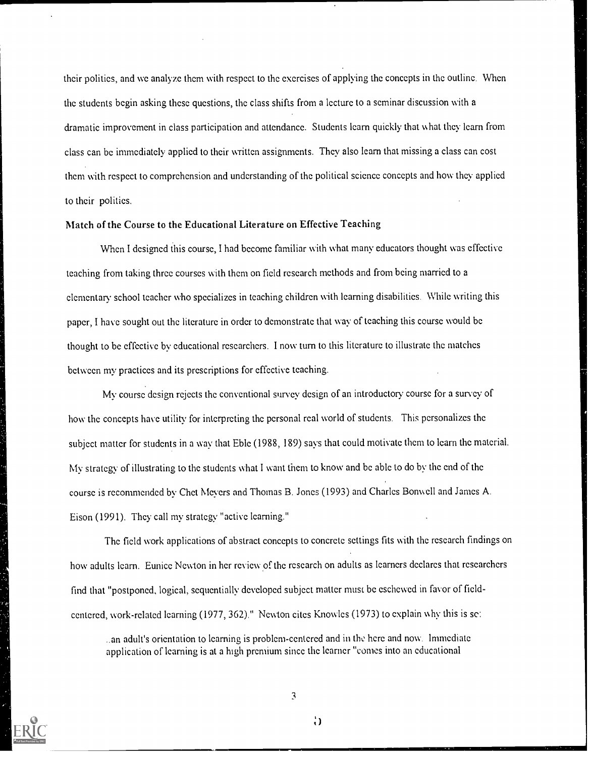their politics, and we analyze them with respect to the exercises of applying the concepts in thc outline. When thc students begin asking these questions, the class shifts from a lecture to a seminar discussion with a dramatic improvement in class participation and attendance. Students learn quickly that what thcy learn from class can bc immediately applied to their written assignments. They also learn that missing a class can cost them with respect to comprehension and understanding of the political science concepts and how they applied to their polities.

### Match of the Course to the Educational Literature on Effective Teaching

When I designed this course, I had become familiar with what many educators thought was effective teaching from taking three courses with them on field research mcthods and from being married to a elementary school teacher who specializes in teaching children with learning disabilities. While writing this paper, I have sought out the literature in ordcr to demonstrate that way of teaching this course would be thought to be effective by educational researchers. I now turn to this literature to illustrate the matches between my practices and its prescriptions for effective teaching.

My course design rejects the conventional survey design of an introductory course for a survey of how the concepts have utility for interpreting the personal real world of students. This personalizes the subject matter for students in a way that Eble (1988, 189) says that could motivate them to learn the material. My strategy of illustrating to the students what I want them to know and be able to do by the end of the course is recommended by Chet Meyers and Thomas B. Jones (1993) and Charles Bonwell and James A. Eison (1991). Thcy call my strategy "active learning."

The field work applications of abstract concepts to concrete settings fits with the research findings on how adults learn. Eunicc Newton in her review of the research on adults as learners declares that researchers find that "postponed, logical, sequentially developed subject matter must be eschewed in favor of fieldcentered, work-related learning (1977, 362)." Newton citcs Knowles (1973) to explain why this is se:

..an adult's orientation to learning is problem-centered and in the here and now. Immediate application of learning is at a high premium sincc the learner "comes into an educational

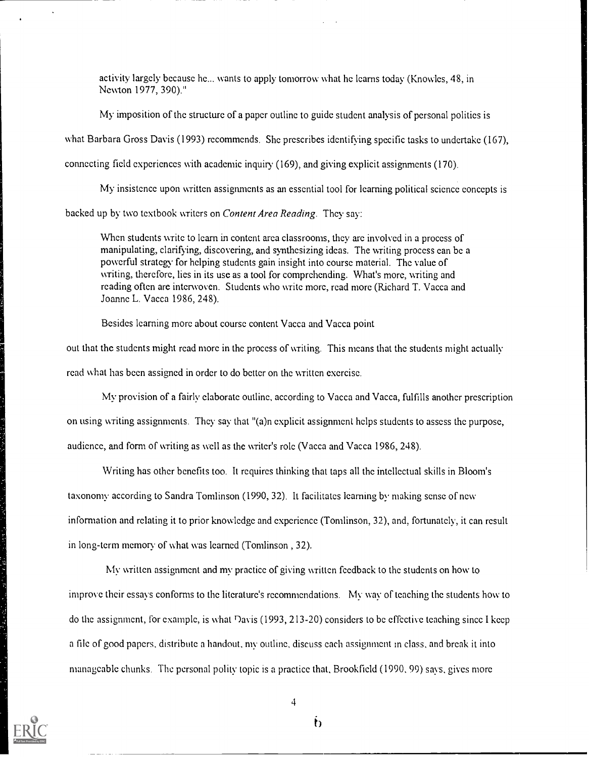activity largely because he... wants to apply tomorrow what he learns today (Knowles, 48, in Newton 1977, 390)."

My imposition of the structure of a paper outline to guide student analysis of personal politics is

what Barbara Gross Davis (1993) recommends. She prescribes identifying specific tasks to undertake (167),

connecting field experiences with academic inquiry (169), and giving explicit assignments (170).

My insistence upon written assignments as an essential tool for learning political science concepts is

backed up by two textbook writers on Content Area Reading. They say:

When students write to learn in content area classrooms, they are involved in a process of manipulating, clarifying, discovering, and synthesizing ideas. The writing proccss can be a powerful strategy for helping students gain insight into course material. The value of writing, therefore, lies in its use as a tool for comprehending. What's more, writing and reading often are interwoven. Students who write more, rcad more (Richard T. Vacca and Joanne L. Vacca 1986, 248).

Besides learning more about course content Vacca and Vacca point

out that the students might read more in the process of writing. This means that the students might actually read what has been assigned in order to do better on the written exercise.

My provision of a fairly elaborate outline, according to Vacca and Vacca, fulfills another prescription on using writing assignments. Thcy say that "(a)n explicit assignment helps studcnts to asscss thc purpose, audience, and form of writing as well as the writer's role (Vacca and Vacca 1986, 248).

Writing has other benefits too. It requires thinking that taps all the intellectual skills in Bloom's taxonomy according to Sandra Tomlinson (1990, 32). It facilitates learning by making sense of ncw information and relating it to prior knowledge and experience (Tomlinson, 32), and, fortunately, it can result in long-term memory of what was learned (Tomlinson , 32).

My written assignment and my practice of giving written feedback to the students on how to improve their essays conforms to the literature's recommendations. My way of teaching thc students how to do the assignment, for example, is what Davis (1993, 213-20) considers to be effective teaching since I keep a file of good papers, distribute a handout, my outline, discuss each assignment in class, and break it into manageable chunks. The personal polity topic is a practice that, Brookfield (1990, 99) says, gives more



4

 $\mathfrak{b}$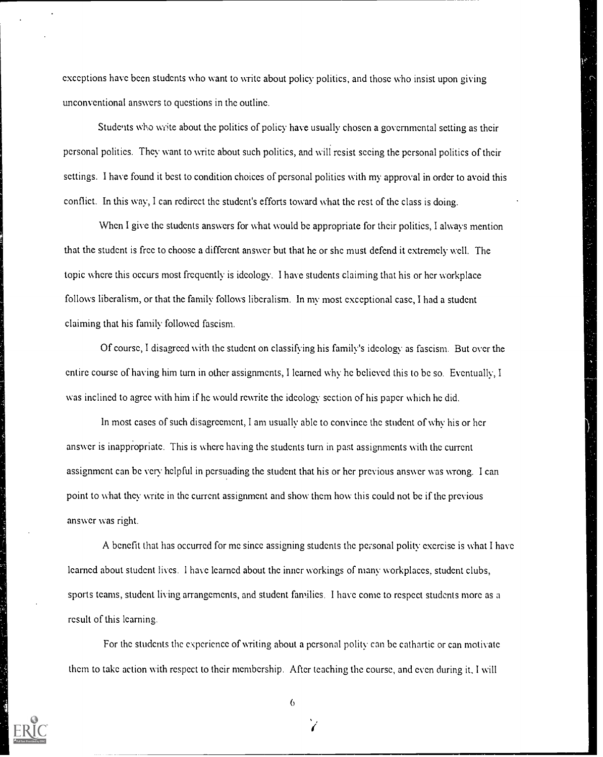exceptions have been students who want to write about policy politics, and those who insist upon giving unconventional answcrs to questions in the outline.

Stude its who write about the politics of policy have usually chosen a governmental setting as their personal polities. They want to write about such politics, and will resist seeing the personal politics of their settings. I have found it best to condition choiccs of personal politics with my approval in order to avoid this conflict. In this way, I can redirect the student's efforts toward what the rest of thc class is doing.

When I give the students answers for what would be appropriate for their polities, I always mention that the student is free to choose a different answcr but that he or she must defend it extremely well. The topic where this occurs most frequently is ideology. I have students claiming that his or her workplace follows liberalism, or that the family follows liberalism. In my most exceptional case, I had a student claiming that his family followed fascism.

Of course, I disagreed with the student on classifying his family's ideology as fascism. But over the entire course of having him turn in other assignments, I learned why he believed this to bc so. Eventually, I was inclined to agree with him if he would rewrite the ideology scction of his paper which he did.

In most cases of such disagreement, I am usually able to convince the student of why his or hcr answcr is inappropriate. This is where having the students turn in past assignments with the current assignment can be very helpful in persuading the studcnt that his or her previous answer was wrong. I can point to what they write in the current assignment and show them how this could not be if the previous answer was right.

A benefit that has occurred for me since assigning students the personal polity exercise is what I have learned about student lives. 1 have learned about the inner workings of many workplaces, studcnt clubs, sports teams, student living arrangements, and student families. I have comc to respect students morc as a result of this learning.

For thc students the experience of writing about a personal polity can be cathartic or can motivate them to take action with respect to their membership. Aftcr teaching the course, and even during it. I will

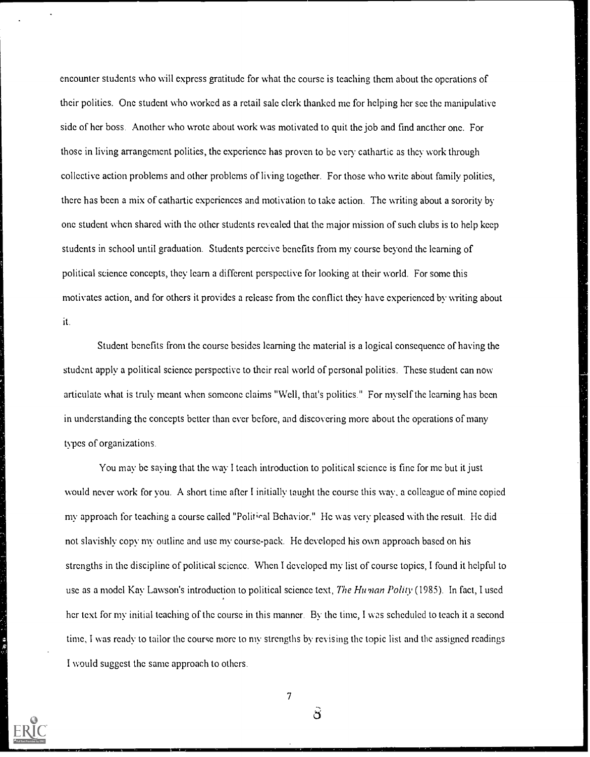encounter students who will express gratitudc for what the course is teaching them about the operations of their politics. One student who worked as a retail sale clerk thanked me for helping her see the manipulative side of hcr boss. Another who wrote about work was motivated to quit the job and find ancther one. For those in living arrangement polities, the experience has proven to be very cathartic as they work through collective action problems and other problems of living together. For those who write about family politics, there has bccn a mix of cathartic experiences and motivation to take action. The writing about a sorority by one student whcn shared with the other students revealed that the major mission of such clubs is to help keep studcnts in school until graduation. Students perceive benefits from my course beyond the learning of political science concepts, they learn a different perspective for looking at their world. For some this motivates action, and for others it provides a release from the conflict they have experienced by writing about it.

Student benefits from the course besides learning the material is a logical consequence of having the studcnt apply a political science perspective to their real world of personal polities. These student can now articulate what is tnily meant when someone claims "Well, that's politics." For myself the learning has been in understanding thc concepts better than ever before, and discovering more about the operations of many types of organizations.

You may be saying that the way I tcach introduction to political science is fine for me but it just would never work for you. A short time after I initially taught the coursc this way, a colleague of mine copicd my approach for teaching a course called "Political Behavior." He was very pleased with the result. He did not slavishly copy my outline and use my course-pack. He developed his own approach based on his strengths in the discipline of political science. When I developed my list of course topics, I found it helpful to use as a model Kay Lawson's introduction to political science text, The Human Polity (1985). In fact, I used hcr text for my initial teaching of the course in this manner. By the time, I was scheduled to teach it a second timc, I was ready to tailor the course more to my strengths by revising the topic list and the assigned readings I would suggest the same approach to others.



7

හි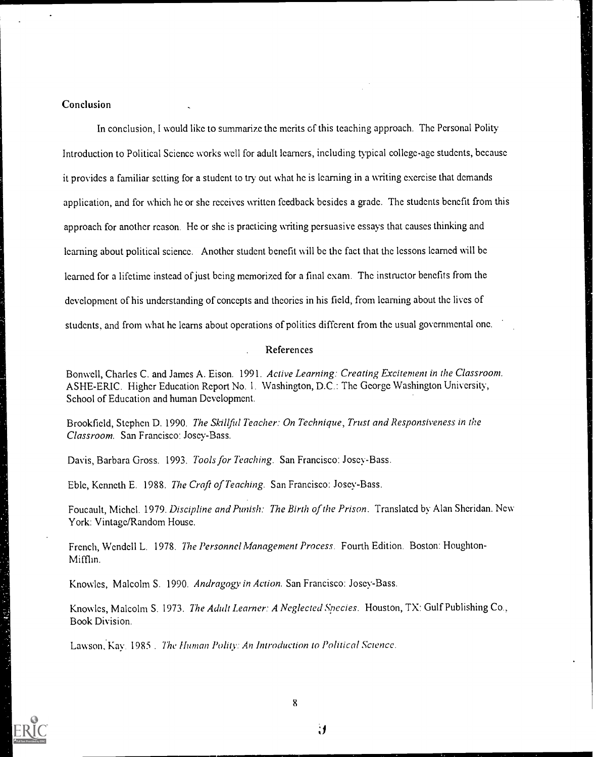# Conclusion

In conclusion, I would like to summarize the merits of this teaching approach. The Personal Polity Introduction to Political Science works well for adult learners, including typical college-age students, because it provides a familiar setting for a student to try out what he is learning in a writing exercise that demands application, and for which he or she receives written feedback besides a grade. The students benefit from this approach for another rcason. He or she is practicing writing persuasive essays that causes thinking and learning about political science. Another student benefit will be the fact that the lessons learned will be learned for a lifetime instead of just being memorized for a final exam. The instructor benefits from the development of his understanding of concepts and theories in his field, from learning about the lives of students, and from what he learns about operations of politics different from the usual governmental one.

# References

Bonwell, Charles C. and James A. Eison. 1991. Active Learning: Creating Excitement in the Classroom. ASHE-ERIC. Higher Education Report No. 1. Washington, D.C.: Thc George Washington University, School of Education and human Development.

Brookfield, Stephen D. 1990. The Skillful Teacher: On Technique, Trust and Responsiveness in the Classroom. San Francisco: Josey-Bass.

Davis, Barbara Gross. 1993. Tools for Teaching. San Francisco: Josey-Bass.

Eble, Kenneth E. 1988. The Craft of Teaching. San Francisco: Joscy-Bass.

Foucault, Michel. 1979. Discipline and Punish: The Birth of the Prison. Translated by Alan Sheridan. New York: Vintage/Random House.

French, Wendell L. 1978. The Personnel Management Process. Fourth Edition. Boston: Houghton-Mifflin.

Knowles, Malcolm S. 1990. Andragogy in Action. San Francisco: Joscy-Bass.

Knowles, Malcolm S. 1973. The Adult Learner: A Neglected Species. Houston, TX: Gulf Publishing Co., Book Division.

Lawson, Kay. 1985. The Human Polity: An Introduction to Political Science.



医心囊炎 医水平

 $\mathbf{g}$ 

 $\mathbf{H}$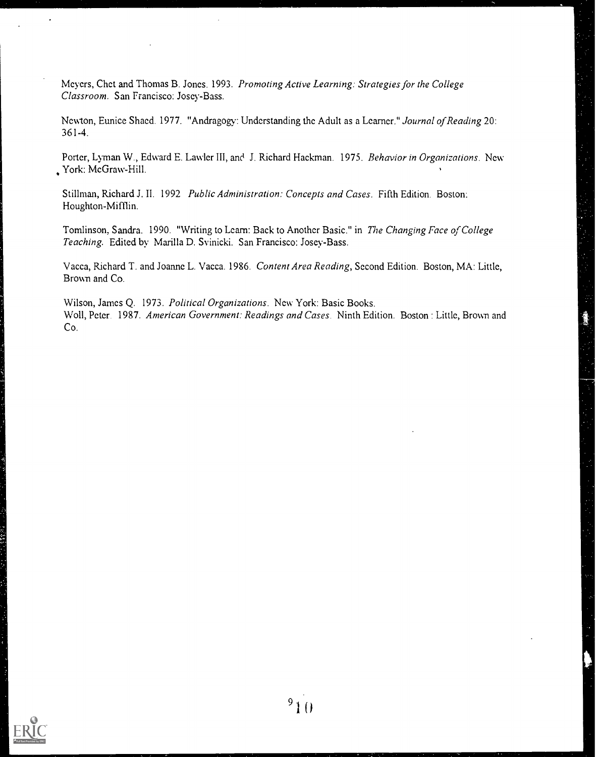Meyers, Chet and Thomas B. Jones. 1993. Promoting Active Learning: Strategies for the College Classroom. San Francisco: Josey-Bass.

Newton, Eunice Shaed. 1977. "Andragogy: Understanding the Adult as a Learner." Journal of Reading 20: 361-4.

Porter, Lyman W., Edward E. Lawler III, and J. Richard Hackman. 1975. Behavior in Organizations. New York: McGraw-Hill.

Stillman, Richard J. II. 1992 Public Administration: Concepts and Cases. Fifth Edition. Boston: Houghton-Mifflin.

Tomlinson, Sandra. 1990. "Writing to Learn: Back to Another Basic." in The Changing Face of College Teaching. Edited by Marilla D. Svinicki. San Francisco: Josey-Bass.

Vacca, Richard T. and Joanne L. Vacca. 1986. Content Area Reading, Second Edition. Boston, MA: Little, Brown and Co.

Wilson, James Q. 1973. Political Organizations. New York: Basic Books. Woll, Peter. 1987. American Government: Readings and Cases. Ninth Edition. Boston: Little, Brown and Co.

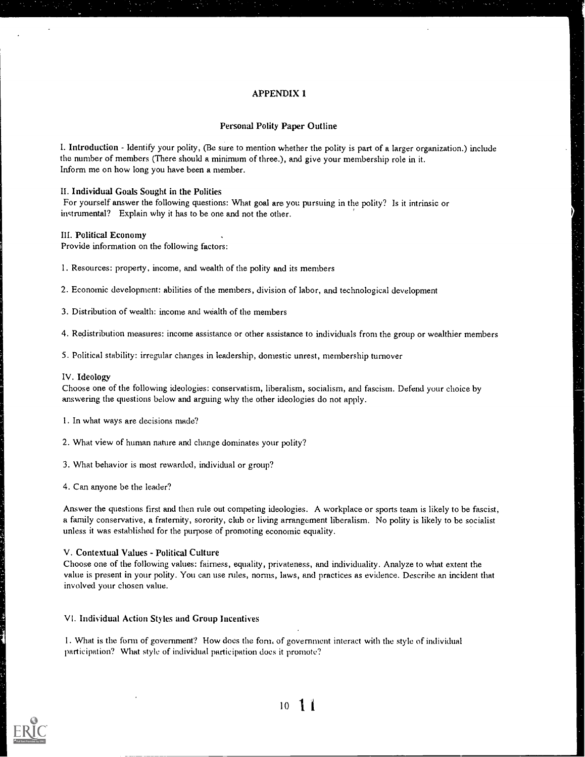#### APPENDIX 1

#### Personal Polity Paper Outline

I. Introduction - Identify your polity, (Be sure to mention whether the polity is part of a larger organization.) include the number of members (There should a minimum of three.), and give your membership role in it. Inform me on how long you have been a member.

II. Individual Goals Sought in the Polities

For yourself answer the following questions: What goal are you pursuing in the polity? Is it intrinsic or instrumental? Explain why it has to be one and not the other.

#### III. Political Economy

Provide information on the following factors:

1. Resources: property, income, and wealth of the polity and its members

2. Economic development: abilities of the members, division of labor, and technological development

3. Distribution of wealth: income and wealth of the members

4. Redistribution measures: income assistance or other assistance to individuals from the group or wealthier members

5. Political stability: irregular changes in leadership, domestic unrest, membership turnover

#### IV. Ideology

Choose one of the following ideologies: conservatism, liberalism, socialism, and fascism. Defend your choice by answering the questions below and arguing why the other ideologies do not apply.

1. In what ways are decisions made'?

2. What view of human nature and change dominates your polity?

3. What behavior is most rewarded, individual or group?

4. Can anyone be the leader?

Answer the questions first and then rule out competing ideologies. A workplace or sports team is likely to be fascist, a family conservative, a fraternity, sorority, club or living arrangement liberalism. No polity is likely to be socialist unless it was established for the purpose of promoting economic equality.

#### V. Contextual Values - Political Culture

Choose one of the following values: fairness, equality, privateness, and individuality. Analyze to what extent the value is present in your polity. You can use rules, norms, laws, and practices as evidence. Describe an incident that involved your chosen value.

VI. Individual Action Styles and Group Incentives

1. What is the form of government? How does the form of government interact with the style of individual participation? What style of individual participation does it promote?

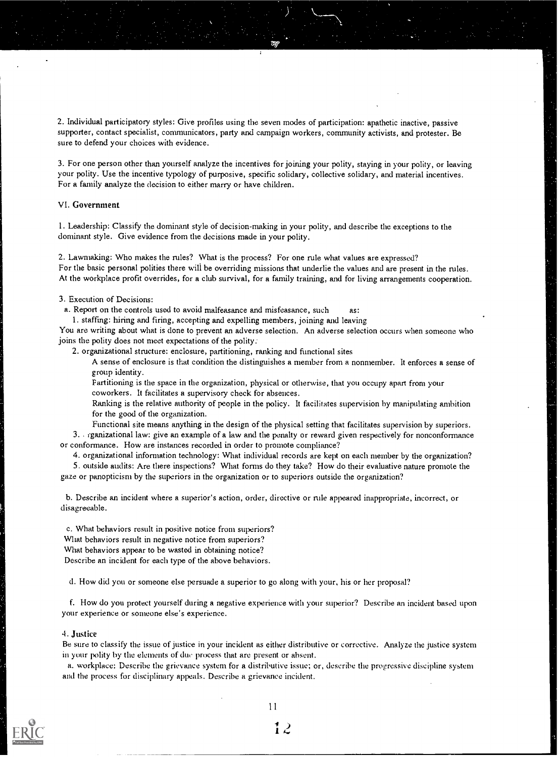2. Individual participatory styles: Give profiles using the seven modes of participation: apathetic inactive, passive supporter, contact specialist, communicators, party and campaign workers, community activists, and protester. Be sure to defend your choices with evidence.

3. For one person other than yourself analyze the incentives for joining your polity, staying in your polity, or leaving your polity. Use the incentive typology of purposive, specific solidary, collective solidary, and material incentives. For a family analyze the decision to either marry or have children.

#### VI. Government

I. Leadership: Classify the dominant style of decision-making in your polity, and describe the exceptions to the dominant style. Give evidence from the decisions made in your polity.

2. Lawmaking: Who makes the rules? What is the process? For one rule what values are expressed? For the basic personal polities there will be overriding missions that underlie the values and are present in the rules. At the workplace profit overrides, for a club survival, for a family training, and for living arrangements cooperation.

3. Execution of Decisions:

a. Report on the controls used to avoid malfeasance and misfeasance, such as:

1. staffing: hiring and firing, accepting and expelling members, joining and leaving

You are writing about what is done to prevent an adverse selection. An adverse selection occurs when someone who joins the polity does not meet expectations of the polity:

2. organizational structure: enclosure, partitioning, ranking and functional sites

A sense of enclosure is that condition the distinguishes a member from a nonmember. It enforces a sense of group identity.

Partitioning is the space in the organization, physical or otherwise, that you occupy apart from your coworkers. It facilitates a supervisory check for absences.

Rankine is the relative authority of people in the policy. It facilitates supervision by manipulating ambition for the good of the oreanization.

Functional site means anything in the design of the physical setting that facilitates supervision by superiors.

3. rganizational law: give an example of a law and the penalty or reward given respectively for nonconformance or conformance. How are instances recorded in order to promote compliance?

4. organizational information technology: What individual records are kept on each member by the organization?

5. outside audits: Are there inspections? What forms do they take? How do their evaluative nature promote the gaze or panopticism by the superiors in the organization or to superiors outside the organization?

b. Describe an incident where a superior's action, order, directive or rule appeared inappropriate, incorrect, or disagreeable.

c. What behaviors result in positive notice from superiors? What behaviors result in negative notice from superiors? What behaviors appear to be wasted in obtaining notice? Describe an incident for each type of the above behaviors.

d. How did you or someone else persuade a superior to go along with your, his or her proposal?

f. How do you protect yourself during a negative experience with your superior? Describe an incident based upon your experience or someone else's experience.

#### 4. Justice

Be sure to classify the issue of justice in your incident as either distributive or corrective. Analyze the justice system in your polity by the elements of duc process that are present or absent.

a. workplace: Describe the grievance system for a distributive issue; or, describe the progressive discipline system and the process for disciplinary appeals. Describe a grievance incident.



1 I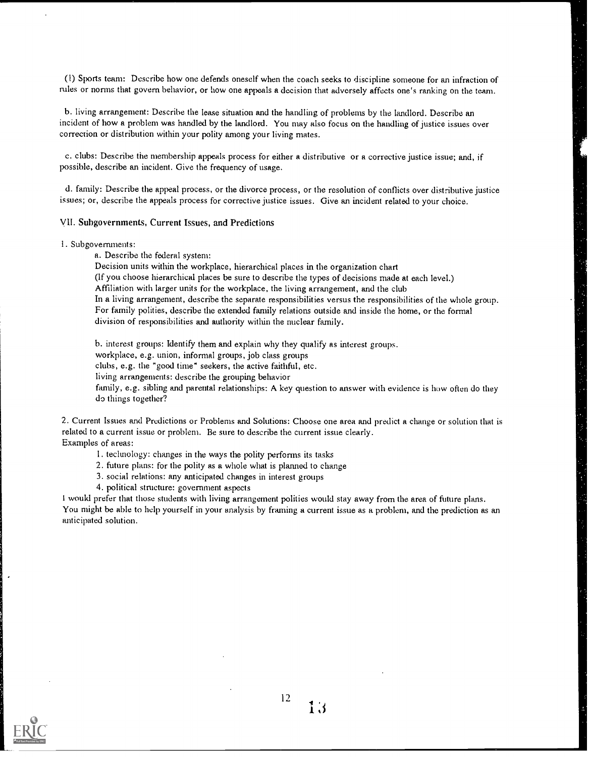(I) Sports team: Describe how one defends oneself when the coach seeks to discipline someone for an infraction of rules or norms that govern behavior, or how one appeals a decision that adversely affects one's ranking on the team.

b. living arrangement: Describe the lease situation and the handling of problems by the landlord. Describe an incident of how a problem was handled by the landlord. You may also focus on the handling of justice issues over correction or distribution within your polity among your living mates.

c. clubs: Describe the membership appeals process for either a distributive or a corrective justice issue; and, if possible, describe an incident. Give the frequency of usage.

d. family: Describe the appeal process, or the divorce process, or the resolution of conflicts over distributive justice issues; or, describe the appeals process for corrective justice issues. Give an incident related to your choice.

#### yit. Subgovernments, Current Issues, and Predictions

#### 1. Subgovernments:

a. Describe the federal system:

Decision units within the workplace, hierarchical places in the organization chart

(If you choose hierarchical places be sure to describe the types of decisions made at each level.)

Affiliation with larger units for the workplace, the living arrangement, and the club

In a living arrangement, describe the separate responsibilities versus the responsibilities of the whole group. For family polities, describe the extended family relations outside and inside the home, or the formal division of responsibilities and authority within the nuclear family.

b. interest groups: Identify them and explain why they qualify as interest groups.

workplace, e.g. union, informal groups, job class groups

clubs, e.g. the "good time" seekers, the active faithful, etc.

living arrangements: describe the grouping behavior

family, e.g. sibling and parental relationships: A key question to answer with evidence is how often do they do things together?

2. Current Issues and Predictions or Problems and Solutions: Choose one area and predict a change or solution that is related to a current issue or problem. Be sure to describe the current issue clearly. Examples of areas:

1. technology: changes in the ways the polity performs its tasks

- 2. future plans: for the polity as a whole what is planned to change
- 3. social relations: any anticipated changes in interest groups
- 4. political structure: government aspects

I would prefer that those students with living arrangement polities would stay away from the area of future plans. You might be able to help yourself in your analysis by framing a current issue as a problem, and the prediction as an anticipated solution.



 $12$